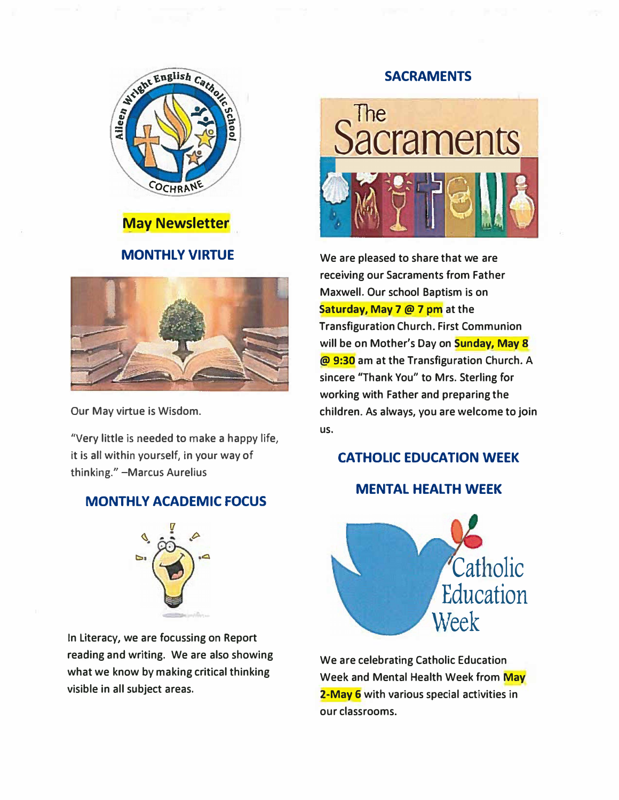



## **MONTHLY VIRTUE**



**Our May virtue is Wisdom.** 

**"Very little is needed to make a happy life, it is all within yourself, in your way of thinking." -Marcus Aurelius** 

## **MONTHLY ACADEMIC FOCUS**



**In Literacy, we are focussing on Report reading and writing. We are also showing what we know by making critical thinking visible in all subject areas.** 

#### **SACRAMENTS**



**We are pleased to share that we are receiving our Sacraments from Father Maxwell. Our school Baptism is on Saturday, May 7 @** *1* **pm at the Transfiguration Church. First Communion will be on Mother's Day on Sunday, May 8 @ 9:30 am at the Transfiguration Church. A sincere "Thank You" to Mrs. Sterling for working with Father and preparing the children. As always, you are welcome to join us.** 

## **CATHOLIC EDUCATION WEEK**

## **MENTAL HEALTH WEEK**



**We are celebrating Catholic Education Week and Mental Health Week from May 2-May 6 with various special activities in our classrooms.**